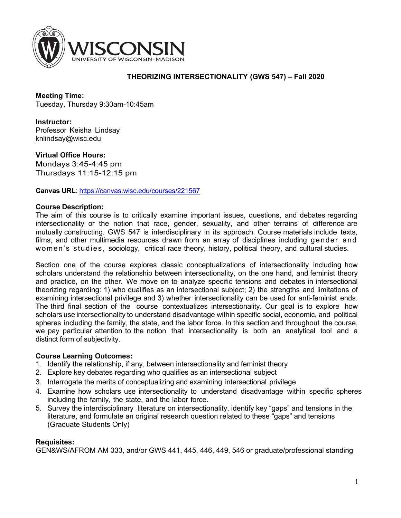

## **THEORIZING INTERSECTIONALITY (GWS 547) – Fall 2020**

**Meeting Time:** Tuesday, Thursday 9:30am-10:45am

**Instructor:** Professor Keisha Lindsay knlindsay@wisc.edu

**Virtual Office Hours:**  Mondays 3:45-4:45 pm Thursdays 11:15-12:15 pm

**Canvas URL**: https://canvas.wisc.edu/courses/221567

### **Course Description:**

The aim of this course is to critically examine important issues, questions, and debates regarding intersectionality or the notion that race, gender, sexuality, and other terrains of difference are mutually constructing. GWS 547 is interdisciplinary in its approach. Course materials include texts, films, and other multimedia resources drawn from an array of disciplines including gender and women's studies, sociology, critical race theory, history, political theory, and cultural studies.

Section one of the course explores classic conceptualizations of intersectionality including how scholars understand the relationship between intersectionality, on the one hand, and feminist theory and practice, on the other. We move on to analyze specific tensions and debates in intersectional theorizing regarding: 1) who qualifies as an intersectional subject; 2) the strengths and limitations of examining intersectional privilege and 3) whether intersectionality can be used for anti-feminist ends. The third final section of the course contextualizes intersectionality. Our goal is to explore how scholars use intersectionality to understand disadvantage within specific social, economic, and political spheres including the family, the state, and the labor force. In this section and throughout the course, we pay particular attention to the notion that intersectionality is both an analytical tool and a distinct form of subjectivity.

### **Course Learning Outcomes:**

- 1. Identify the relationship, if any, between intersectionality and feminist theory
- 2. Explore key debates regarding who qualifies as an intersectional subject
- 3. Interrogate the merits of conceptualizing and examining intersectional privilege
- 4. Examine how scholars use intersectionality to understand disadvantage within specific spheres including the family, the state, and the labor force.
- 5. Survey the interdisciplinary literature on intersectionality, identify key "gaps" and tensions in the literature, and formulate an original research question related to these "gaps" and tensions (Graduate Students Only)

### **Requisites:**

GEN&WS/AFROM AM 333, and/or GWS 441, 445, 446, 449, 546 or graduate/professional standing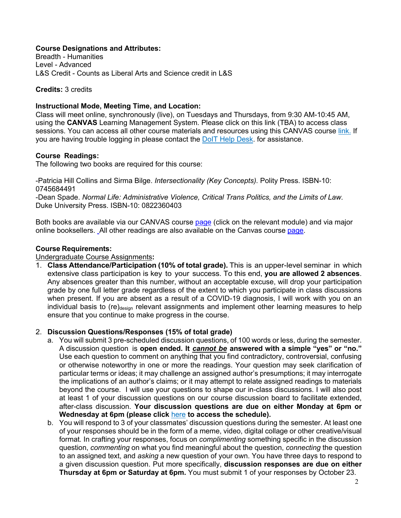## **Course Designations and Attributes:**

Breadth - Humanities Level - Advanced L&S Credit - Counts as Liberal Arts and Science credit in L&S

### **Credits:** 3 credits

### **Instructional Mode, Meeting Time, and Location:**

Class will meet online, synchronously (live), on Tuesdays and Thursdays, from 9:30 AM-10:45 AM, using the **CANVAS** Learning Management System. Please click on this link (TBA) to access class sessions. You can access all other course materials and resources using this CANVAS course link. If you are having trouble logging in please contact the DoIT Help Desk. for assistance.

### **Course Readings:**

The following two books are required for this course:

-Patricia Hill Collins and Sirma Bilge. *Intersectionality (Key Concepts).* Polity Press. ISBN-10: 0745684491

-Dean Spade. *Normal Life: Administrative Violence, Critical Trans Politics, and the Limits of Law*. Duke University Press. ISBN-10: 0822360403

Both books are available via our CANVAS course page (click on the relevant module) and via major online booksellers. All other readings are also available on the Canvas course page.

### **Course Requirements:**

#### Undergraduate Course Assignments**:**

1. **Class Attendance/Participation (10% of total grade).** This is an upper-level seminar in which extensive class participation is key to your success. To this end, **you are allowed 2 absences**. Any absences greater than this number, without an acceptable excuse, will drop your participation grade by one full letter grade regardless of the extent to which you participate in class discussions when present. If you are absent as a result of a COVID-19 diagnosis, I will work with you on an individual basis to (re)<sub>design</sub> relevant assignments and implement other learning measures to help ensure that you continue to make progress in the course.

#### 2. **Discussion Questions/Responses (15% of total grade)**

- a. You will submit 3 pre-scheduled discussion questions, of 100 words or less, during the semester. A discussion question is **open ended. It** *cannot be* **answered with a simple "yes" or "no."**  Use each question to comment on anything that you find contradictory, controversial, confusing or otherwise noteworthy in one or more the readings. Your question may seek clarification of particular terms or ideas; it may challenge an assigned author's presumptions; it may interrogate the implications of an author's claims; or it may attempt to relate assigned readings to materials beyond the course. I will use your questions to shape our in-class discussions. I will also post at least 1 of your discussion questions on our course discussion board to facilitate extended, after-class discussion. **Your discussion questions are due on either Monday at 6pm or**  Wednesday at 6pm (please click here to access the schedule).
- b. You will respond to 3 of your classmates' discussion questions during the semester. At least one of your responses should be in the form of a meme, video, digital collage or other creative/visual format*.* In crafting your responses, focus on *complimenting* something specific in the discussion question, *commenting* on what you find meaningful about the question, *connecting* the question to an assigned text, and *asking* a new question of your own. You have three days to respond to a given discussion question. Put more specifically, **discussion responses are due on either Thursday at 6pm or Saturday at 6pm.** You must submit 1 of your responses by October 23.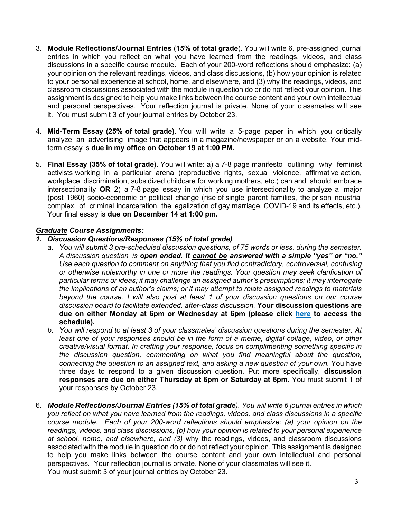- 3. **Module Reflections/Journal Entries** (**15% of total grade**). You will write 6, pre-assigned journal entries in which you reflect on what you have learned from the readings, videos, and class discussions in a specific course module. Each of your 200-word reflections should emphasize: (a) your opinion on the relevant readings, videos, and class discussions, (b) how your opinion is related to your personal experience at school, home, and elsewhere, and (3) why the readings, videos, and classroom discussions associated with the module in question do or do not reflect your opinion. This assignment is designed to help you make links between the course content and your own intellectual and personal perspectives. Your reflection journal is private. None of your classmates will see it. You must submit 3 of your journal entries by October 23.
- 4. **Mid-Term Essay (25% of total grade).** You will write a 5-page paper in which you critically analyze an advertising image that appears in a magazine/newspaper or on a website. Your midterm essay is **due in my office on October 19 at 1:00 PM.**
- 5. **Final Essay (35% of total grade).** You will write: a) a 7-8 page manifesto outlining why feminist activists working in a particular arena (reproductive rights, sexual violence, affirmative action, workplace discrimination, subsidized childcare for working mothers, etc.) can and should embrace intersectionality **OR** 2) a 7-8 page essay in which you use intersectionality to analyze a major (post 1960) socio-economic or political change (rise of single parent families, the prison industrial complex, of criminal incarceration, the legalization of gay marriage, COVID-19 and its effects, etc.). Your final essay is **due on December 14 at 1:00 pm.**

### *Graduate Course Assignments:*

### *1. Discussion Questions/Responses (15% of total grade)*

- *a. You will submit 3 pre-scheduled discussion questions, of 75 words or less*, *during the semester. A discussion question is open ended. It cannot be answered with a simple "yes" or "no." Use each question to comment on anything that you find contradictory, controversial, confusing or otherwise noteworthy in one or more the readings. Your question may seek clarification of particular terms or ideas; it may challenge an assigned author's presumptions; it may interrogate the implications of an author's claims; or it may attempt to relate assigned readings to materials beyond the course. I will also post at least 1 of your discussion questions on our course discussion board to facilitate extended, after-class discussion.* **Your discussion questions are due on either Monday at 6pm or Wednesday at 6pm (please click here to access the schedule).**
- *b. You will respond to at least 3 of your classmates' discussion questions during the semester. At least one of your responses should be in the form of a meme, digital collage, video, or other creative/visual format. In crafting your response, focus on complimenting something specific in the discussion question, commenting on what you find meaningful about the question, connecting the question to an assigned text, and asking a new question of your own.* You have three days to respond to a given discussion question. Put more specifically, **discussion responses are due on either Thursday at 6pm or Saturday at 6pm.** You must submit 1 of your responses by October 23.
- 6. *Module Reflections/Journal Entries (15% of total grade). You will write 6 journal entries in which you reflect on what you have learned from the readings, videos, and class discussions in a specific course module. Each of your 200-word reflections should emphasize: (a) your opinion on the readings, videos, and class discussions, (b) how your opinion is related to your personal experience at school, home, and elsewhere, and (3)* why the readings, videos, and classroom discussions associated with the module in question do or do not reflect your opinion. This assignment is designed to help you make links between the course content and your own intellectual and personal perspectives. Your reflection journal is private. None of your classmates will see it. You must submit 3 of your journal entries by October 23.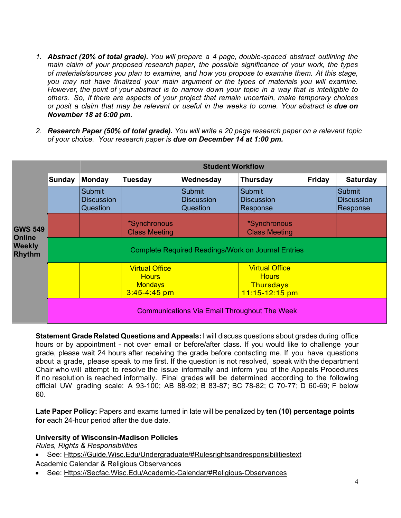- *1. Abstract (20% of total grade). You will prepare a 4 page, double-spaced abstract outlining the main claim of your proposed research paper, the possible significance of your work, the types of materials/sources you plan to examine, and how you propose to examine them. At this stage, you may not have finalized your main argument or the types of materials you will examine. However, the point of your abstract is to narrow down your topic in a way that is intelligible to others. So, if there are aspects of your project that remain uncertain, make temporary choices or posit a claim that may be relevant or useful in the weeks to come. Your abstract is due on November 18 at 6:00 pm.*
- *2. Research Paper (50% of total grade). You will write a 20 page research paper on a relevant topic of your choice. Your research paper is due on December 14 at 1:00 pm.*

|                                                                   |                                                           | <b>Student Workflow</b>                        |                                                                             |                                         |                                                                                 |        |                                         |
|-------------------------------------------------------------------|-----------------------------------------------------------|------------------------------------------------|-----------------------------------------------------------------------------|-----------------------------------------|---------------------------------------------------------------------------------|--------|-----------------------------------------|
| <b>GWS 549</b><br><b>Online</b><br><b>Weekly</b><br><b>Rhythm</b> | Sunday                                                    | Monday                                         | <b>Tuesday</b>                                                              | Wednesday                               | <b>Thursday</b>                                                                 | Friday | <b>Saturday</b>                         |
|                                                                   |                                                           | <b>Submit</b><br><b>Discussion</b><br>Question |                                                                             | Submit<br><b>Discussion</b><br>Question | Submit<br><b>Discussion</b><br>Response                                         |        | Submit<br><b>Discussion</b><br>Response |
|                                                                   |                                                           |                                                | *Synchronous<br><b>Class Meeting</b>                                        |                                         | *Synchronous<br><b>Class Meeting</b>                                            |        |                                         |
|                                                                   | <b>Complete Required Readings/Work on Journal Entries</b> |                                                |                                                                             |                                         |                                                                                 |        |                                         |
|                                                                   |                                                           |                                                | <b>Virtual Office</b><br><b>Hours</b><br><b>Mondays</b><br>$3:45 - 4:45$ pm |                                         | <b>Virtual Office</b><br><b>Hours</b><br><b>Thursdays</b><br>$11:15 - 12:15$ pm |        |                                         |
|                                                                   | <b>Communications Via Email Throughout The Week</b>       |                                                |                                                                             |                                         |                                                                                 |        |                                         |

**Statement Grade Related Questions and Appeals:** I will discuss questions about grades during office hours or by appointment - not over email or before/after class. If you would like to challenge your grade, please wait 24 hours after receiving the grade before contacting me. If you have questions about a grade, please speak to me first. If the question is not resolved, speak with the department Chair who will attempt to resolve the issue informally and inform you of the Appeals Procedures if no resolution is reached informally. Final grades will be determined according to the following official UW grading scale: A 93-100; AB 88-92; B 83-87; BC 78-82; C 70-77; D 60-69; F below 60.

**Late Paper Policy:** Papers and exams turned in late will be penalized by **ten (10) percentage points for** each 24-hour period after the due date.

### **University of Wisconsin-Madison Policies**

*Rules, Rights & Responsibilities*

- See: Https://Guide.Wisc.Edu/Undergraduate/#Rulesrightsandresponsibilitiestext
- Academic Calendar & Religious Observances
- See: Https://Secfac.Wisc.Edu/Academic-Calendar/#Religious-Observances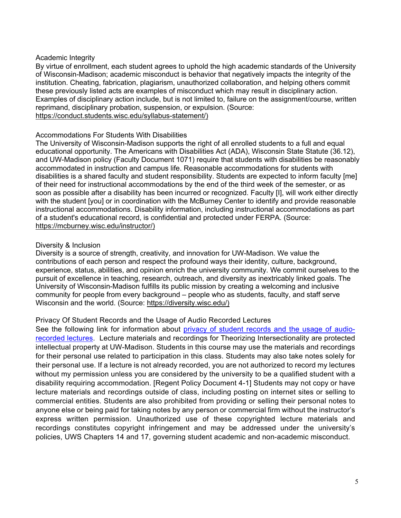### Academic Integrity

By virtue of enrollment, each student agrees to uphold the high academic standards of the University of Wisconsin-Madison; academic misconduct is behavior that negatively impacts the integrity of the institution. Cheating, fabrication, plagiarism, unauthorized collaboration, and helping others commit these previously listed acts are examples of misconduct which may result in disciplinary action. Examples of disciplinary action include, but is not limited to, failure on the assignment/course, written reprimand, disciplinary probation, suspension, or expulsion. (Source: https://conduct.students.wisc.edu/syllabus-statement/)

### Accommodations For Students With Disabilities

The University of Wisconsin-Madison supports the right of all enrolled students to a full and equal educational opportunity. The Americans with Disabilities Act (ADA), Wisconsin State Statute (36.12), and UW-Madison policy (Faculty Document 1071) require that students with disabilities be reasonably accommodated in instruction and campus life. Reasonable accommodations for students with disabilities is a shared faculty and student responsibility. Students are expected to inform faculty [me] of their need for instructional accommodations by the end of the third week of the semester, or as soon as possible after a disability has been incurred or recognized. Faculty [I], will work either directly with the student [you] or in coordination with the McBurney Center to identify and provide reasonable instructional accommodations. Disability information, including instructional accommodations as part of a student's educational record, is confidential and protected under FERPA. (Source: https://mcburney.wisc.edu/instructor/)

### Diversity & Inclusion

Diversity is a source of strength, creativity, and innovation for UW-Madison. We value the contributions of each person and respect the profound ways their identity, culture, background, experience, status, abilities, and opinion enrich the university community. We commit ourselves to the pursuit of excellence in teaching, research, outreach, and diversity as inextricably linked goals. The University of Wisconsin-Madison fulfills its public mission by creating a welcoming and inclusive community for people from every background – people who as students, faculty, and staff serve Wisconsin and the world. (Source: https://diversity.wisc.edu/)

### Privacy Of Student Records and the Usage of Audio Recorded Lectures

See the following link for information about privacy of student records and the usage of audiorecorded lectures. Lecture materials and recordings for Theorizing Intersectionality are protected intellectual property at UW-Madison. Students in this course may use the materials and recordings for their personal use related to participation in this class. Students may also take notes solely for their personal use. If a lecture is not already recorded, you are not authorized to record my lectures without my permission unless you are considered by the university to be a qualified student with a disability requiring accommodation. [Regent Policy Document 4-1] Students may not copy or have lecture materials and recordings outside of class, including posting on internet sites or selling to commercial entities. Students are also prohibited from providing or selling their personal notes to anyone else or being paid for taking notes by any person or commercial firm without the instructor's express written permission. Unauthorized use of these copyrighted lecture materials and recordings constitutes copyright infringement and may be addressed under the university's policies, UWS Chapters 14 and 17, governing student academic and non-academic misconduct.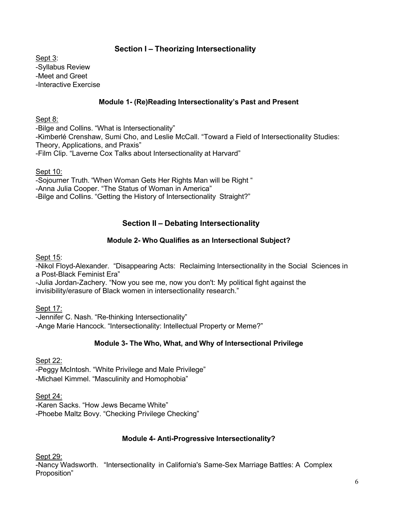# **Section I – Theorizing Intersectionality**

Sept 3: -Syllabus Review -Meet and Greet -Interactive Exercise

## **Module 1- (Re)Reading Intersectionality's Past and Present**

Sept 8:

-Bilge and Collins. "What is Intersectionality" -Kimberlé Crenshaw, Sumi Cho, and Leslie McCall. "Toward a Field of Intersectionality Studies: Theory, Applications, and Praxis" -Film Clip. "Laverne Cox Talks about Intersectionality at Harvard"

Sept 10:

-Sojourner Truth. "When Woman Gets Her Rights Man will be Right " -Anna Julia Cooper. "The Status of Woman in America" -Bilge and Collins. "Getting the History of Intersectionality Straight?"

# **Section II – Debating Intersectionality**

## **Module 2- Who Qualifies as an Intersectional Subject?**

Sept 15:

-Nikol Floyd-Alexander. "Disappearing Acts: Reclaiming Intersectionality in the Social Sciences in a Post-Black Feminist Era"

-Julia Jordan-Zachery. "Now you see me, now you don't: My political fight against the invisibility/erasure of Black women in intersectionality research."

Sept 17:

-Jennifer C. Nash. "Re-thinking Intersectionality" -Ange Marie Hancock. "Intersectionality: Intellectual Property or Meme?"

## **Module 3- The Who, What, and Why of Intersectional Privilege**

Sept 22:

-Peggy McIntosh. "White Privilege and Male Privilege" -Michael Kimmel. "Masculinity and Homophobia"

Sept 24:

-Karen Sacks. "How Jews Became White" -Phoebe Maltz Bovy. "Checking Privilege Checking"

### **Module 4- Anti-Progressive Intersectionality?**

Sept 29:

-Nancy Wadsworth. "Intersectionality in California's Same-Sex Marriage Battles: A Complex Proposition"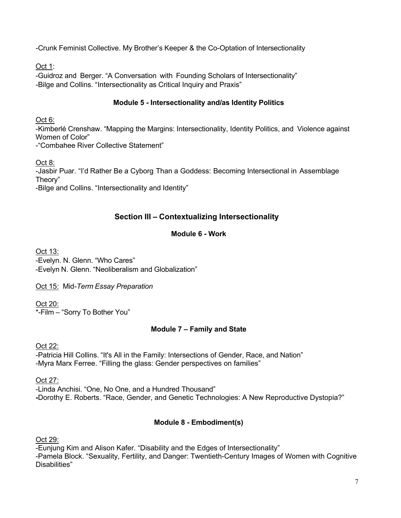-Crunk Feminist Collective. My Brother's Keeper & the Co-Optation of Intersectionality

Oct 1:

-Guidroz and Berger. "A Conversation with Founding Scholars of Intersectionality" -Bilge and Collins. "Intersectionality as Critical Inquiry and Praxis"

# **Module 5 - Intersectionality and/as Identity Politics**

Oct 6:

-Kimberlé Crenshaw. "Mapping the Margins: Intersectionality, Identity Politics, and Violence against Women of Color"

-"Combahee River Collective Statement"

Oct 8:

-Jasbir Puar. "I'd Rather Be a Cyborg Than a Goddess: Becoming Intersectional in Assemblage Theory"

-Bilge and Collins. "Intersectionality and Identity"

# **Section III – Contextualizing Intersectionality**

# **Module 6 - Work**

Oct 13: -Evelyn. N. Glenn. "Who Cares" -Evelyn N. Glenn. "Neoliberalism and Globalization"

Oct 15: Mid*-Term Essay Preparation*

Oct 20: \*-Film – "Sorry To Bother You"

# **Module 7 – Family and State**

Oct 22:

-Patricia Hill Collins. "It's All in the Family: Intersections of Gender, Race, and Nation" -Myra Marx Ferree. "Filling the glass: Gender perspectives on families"

Oct 27:

-Linda Anchisi. "One, No One, and a Hundred Thousand" **-**Dorothy E. Roberts. "Race, Gender, and Genetic Technologies: A New Reproductive Dystopia?"

# **Module 8 - Embodiment(s)**

Oct 29:

-Eunjung Kim and Alison Kafer. "Disability and the Edges of Intersectionality" -Pamela Block. "Sexuality, Fertility, and Danger: Twentieth-Century Images of Women with Cognitive Disabilities"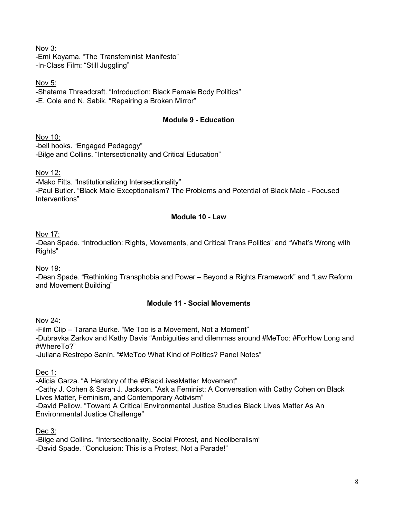Nov 3: -Emi Koyama. "The Transfeminist Manifesto" -In-Class Film: "Still Juggling"

Nov 5:

-Shatema Threadcraft. "Introduction: Black Female Body Politics" -E. Cole and N. Sabik. "Repairing a Broken Mirror"

# **Module 9 - Education**

Nov 10:

-bell hooks. "Engaged Pedagogy" -Bilge and Collins. "Intersectionality and Critical Education"

Nov 12:

-Mako Fitts. "Institutionalizing Intersectionality"

-Paul Butler. "Black Male Exceptionalism? The Problems and Potential of Black Male - Focused Interventions"

## **Module 10 - Law**

Nov 17:

-Dean Spade*.* "Introduction: Rights, Movements, and Critical Trans Politics" and "What's Wrong with Rights"

Nov 19:

-Dean Spade*.* "Rethinking Transphobia and Power – Beyond a Rights Framework" and "Law Reform and Movement Building"

## **Module 11 - Social Movements**

Nov 24:

-Film Clip – Tarana Burke. "Me Too is a Movement, Not a Moment" -Dubravka Zarkov and Kathy Davis "Ambiguities and dilemmas around #MeToo: #ForHow Long and #WhereTo?" -Juliana Restrepo Sanín. "#MeToo What Kind of Politics? Panel Notes"

Dec 1:

-Alicia Garza. "A Herstory of the #BlackLivesMatter Movement" -Cathy J. Cohen & Sarah J. Jackson. "Ask a Feminist: A Conversation with Cathy Cohen on Black Lives Matter, Feminism, and Contemporary Activism" *-*David Pellow. "Toward A Critical Environmental Justice Studies Black Lives Matter As An Environmental Justice Challenge"

Dec 3:

-Bilge and Collins. "Intersectionality, Social Protest, and Neoliberalism"

-David Spade. "Conclusion: This is a Protest, Not a Parade!"